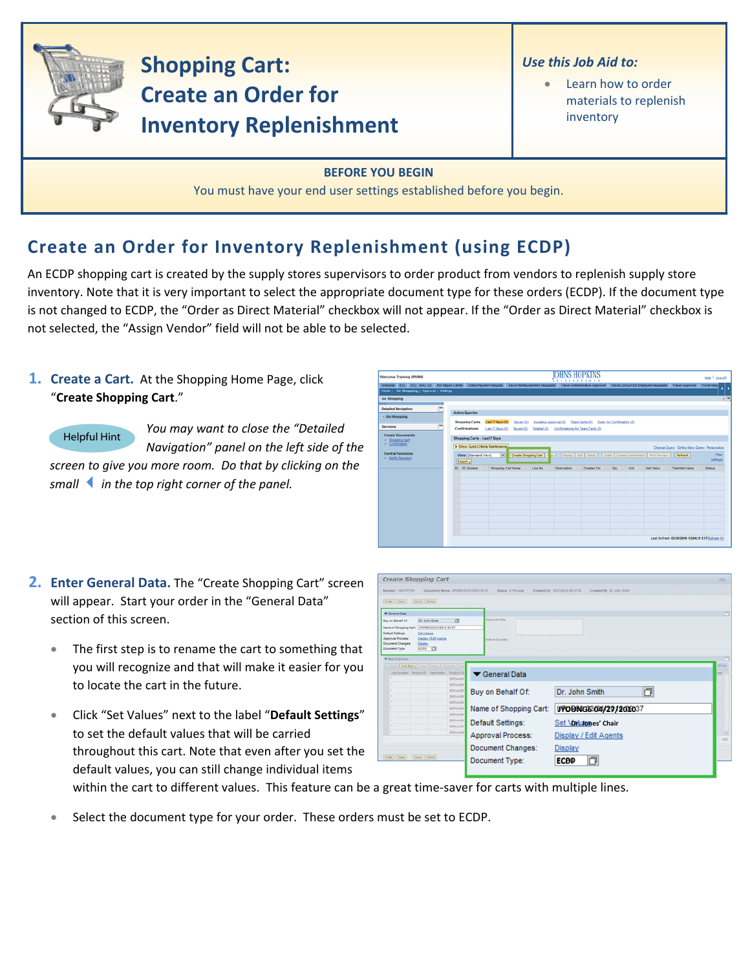

# **Shopping Cart: Create an Order for Inventory Replenishment**

### *Use this Job Aid to:*

Learn how to order materials to replenish inventory

### **BEFORE YOU BEGIN**

You must have your end user settings established before you begin.

# **Create an Order for Inventory Replenishment (using ECDP)**

An ECDP shopping cart is created by the supply stores supervisors to order product from vendors to replenish supply store inventory. Note that it is very important to select the appropriate document type for these orders (ECDP). If the document type is not changed to ECDP, the "Order as Direct Material" checkbox will not appear. If the "Order as Direct Material" checkbox is not selected, the "Assign Vendor" field will not be able to be selected.

## **1. Create a Cart.** At the Shopping Home Page, click "**Create Shopping Cart**."

Helpful Hint

*You may want to close the "Detailed Navigation" panel on the left side of the screen to give you more room. Do that by clicking on the*

*smallin the top right corner of the panel.*

| Welcome Training UPUR60                                                                                                                                                                                                                                           |                                                                                                 |                                                              |                       |                    | <b>XXTITETIOXX</b>                                                                                                              |                           |      |                  |                                                                     | Help   Log.off                     |
|-------------------------------------------------------------------------------------------------------------------------------------------------------------------------------------------------------------------------------------------------------------------|-------------------------------------------------------------------------------------------------|--------------------------------------------------------------|-----------------------|--------------------|---------------------------------------------------------------------------------------------------------------------------------|---------------------------|------|------------------|---------------------------------------------------------------------|------------------------------------|
| Welcome ECC ECC - MAC OS BW Report Center Online Payment Request Travel Reimbursement Requester Travel Administrative Approver Travel Concurrent Employed Requester Travel Approver Travel Approver Travel Approver<br>Alerts   Go Shopping   Approval   Settings |                                                                                                 |                                                              |                       |                    |                                                                                                                                 |                           |      |                  |                                                                     |                                    |
| <b>Go Shopping</b><br><b>RIST</b><br>-<br><b>Detailed Navigation</b><br>· Go Shopping<br><b>Services</b><br><b>Create Documents</b><br>Shopping Cart                                                                                                              | <b>Active Queries</b><br><b>Shopping Carts</b><br>Confirmations<br>Shopping Carts - Last 7 Days | Last 7 Days (0)<br>Saved (0)<br>Last 7 Days (0)<br>Saved (0) | Awalting Approval (0) |                    | Team Carts (0)<br>Deleted (0) Confirmations for Team Carts (0)                                                                  | Open for Confirmation (0) |      |                  |                                                                     | 匣                                  |
| - Confirmation<br><b>Central Functions</b><br><b>Notify Recipient</b>                                                                                                                                                                                             | > Show Quick Criteria Maintenance<br>View [Standard View]<br>Export a<br><b>RR</b> SC Number    | $\overline{ }$<br>Shopping Cart Name                         | Line No.              | <b>Description</b> | Create Shopping Cart   C by     Display   Edit   Delete     Order   Create Confirmation   Print Preview   Refresh<br>Created On | Oty                       | Unit | <b>Net Value</b> | Change Query Define New Query Personalize<br><b>Total Net Value</b> | Fiter<br>Settings<br><b>Status</b> |
|                                                                                                                                                                                                                                                                   |                                                                                                 |                                                              |                       |                    |                                                                                                                                 |                           |      |                  |                                                                     |                                    |
|                                                                                                                                                                                                                                                                   |                                                                                                 |                                                              |                       |                    |                                                                                                                                 |                           |      |                  |                                                                     |                                    |
|                                                                                                                                                                                                                                                                   |                                                                                                 |                                                              |                       |                    |                                                                                                                                 |                           |      |                  | Last Refresh 03/30/2010 12:04:31 EST Refresh FD                     |                                    |

- **2. Enter General Data.** The "Create Shopping Cart" screen will appear. Start your order in the "General Data" section of this screen.
	- The first step is to rename the cart to something that you will recognize and that will make it easier for you to locate the cart in the future.
	- Click "Set Values" next to the label "**Default Settings**" to set the default values that will be carried throughout this cart. Note that even after you set the default values, you can still change individual items

|                                                  | Create Shopping Cart                               |                                       |                                     |                                                             | <b>DG</b>  |
|--------------------------------------------------|----------------------------------------------------|---------------------------------------|-------------------------------------|-------------------------------------------------------------|------------|
| Number 102127231                                 |                                                    | Document Barne UPUFAIL ESQ10310 39 37 | <b>Status</b> in Process            | Created Da 53/11/2019 19:37:18<br>Created By Dr. John Smith |            |
| [Criter   Close     Bave   Chevk                 |                                                    |                                       |                                     |                                                             |            |
| <b>W</b> General Data                            |                                                    |                                       |                                     |                                                             | n          |
| Buy on Behalf Of                                 | Dr. John Smith                                     | ы                                     | Australia links                     |                                                             |            |
| Name of Shopping Cart. UPURED 03/31/2310 09:37   |                                                    |                                       |                                     |                                                             |            |
| <b>Default Settings:</b><br>Approval Process     | <b>Set Values</b><br><b>Dispay / Edit Aserta</b>   |                                       | Arm to Success                      |                                                             |            |
| <b>Document Changes</b><br><b>Document Type:</b> | Dealer<br>ECPO IT                                  |                                       |                                     |                                                             |            |
| W Jan Dienes                                     |                                                    |                                       |                                     |                                                             |            |
|                                                  | Delain   AAf form # Comy # Fourt # Dailyson # Dela |                                       |                                     |                                                             | ettiat     |
|                                                  | Leatures Policiti Descripti Policità               |                                       |                                     |                                                             | m          |
|                                                  |                                                    |                                       |                                     |                                                             |            |
| ٠                                                |                                                    | SERVADA                               | General Data                        |                                                             |            |
|                                                  |                                                    | <b>SERVADIE</b>                       |                                     |                                                             |            |
|                                                  |                                                    | SERVADIA                              |                                     | Dr. John Smith                                              |            |
|                                                  |                                                    | SERVADE                               | Buy on Behalf Of:                   | 门                                                           |            |
|                                                  |                                                    | SERVAGIE<br>SERVADE                   |                                     |                                                             |            |
|                                                  |                                                    | <b>SERVAGNI</b>                       | Name of Shopping Cart:              | UPOBNG6604/27/201037                                        |            |
| ٠                                                |                                                    | SERVADA                               | Default Settings:                   |                                                             |            |
|                                                  |                                                    | <b>SERVADIO</b><br>SERVAGN            |                                     | Set \onlumnes' Chair                                        |            |
|                                                  |                                                    |                                       | Approval Process:                   | Display / Edit Agents                                       | <b>USE</b> |
|                                                  |                                                    |                                       |                                     |                                                             |            |
| Order   Close                                    | [Save   Days                                       |                                       | Document Changes:<br>Document Type: | Display<br>O<br><b>ECBD</b>                                 |            |

within the cart to different values. This feature can be a great time-saver for carts with multiple lines.

Select the document type for your order. These orders must be set to ECDP.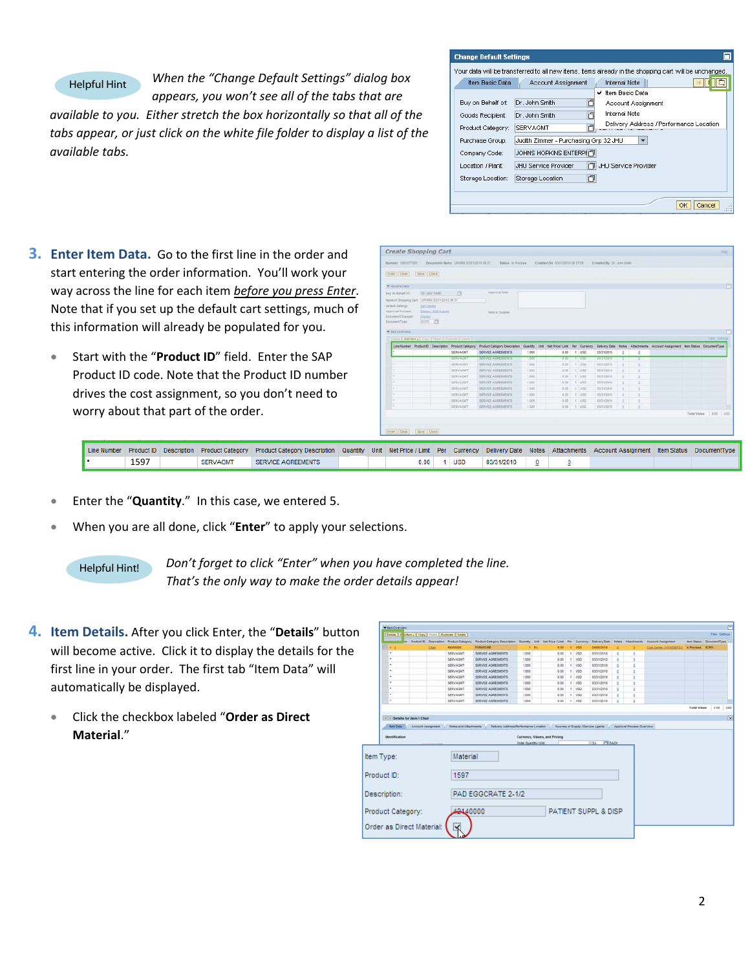#### Helpful Hint

*When the "Change Default Settings" dialog box*

*appears, you won't see all of the tabs that are available to you. Either stretch the box horizontally so that all of the tabs appear, or just click on the white file folder to display a list of the available tabs.*

| <b>Change Default Settings</b> |                                                                                                       |
|--------------------------------|-------------------------------------------------------------------------------------------------------|
|                                | Your data will be transferred to all new items, items already in the shopping cart will be unchanged. |
| Item Basic Data                | <b>Internal Note</b><br>Account Assignment                                                            |
|                                | ✔ Item Basic Data                                                                                     |
| Buy on Behalf of:              | Dr. John Smith<br>n<br>Account Assignment                                                             |
| Goods Recipient:               | <b>Internal Note</b><br>Dr. John Smith                                                                |
| Product Category:              | Delivery Address / Performance Location<br>SERVAGMT                                                   |
| Purchase Group:                | Judith Zimmer - Purchasing Grp 32 JHU                                                                 |
| Company Code:                  | JOHNS HOPKINS ENTERPHT                                                                                |
| Location / Plant:              | JHU Service Provider<br><b>JHLI Service Provider</b>                                                  |
| Storage Location:              | 门<br>Storage Location                                                                                 |
|                                | Cancel<br>ок                                                                                          |

- **3. Enter Item Data.** Go to the first line in the order and start entering the order information. You'll work your way across the line for each item *before you press Enter*. Note that if you set up the default cart settings, much of this information will already be populated for you.
	- Start with the "**Product ID**" field. Enter the SAP Product ID code. Note that the Product ID number drives the cost assignment, so you don't need to worry about that part of the order.

| T General Date                                |                  |                            |                                                       |                              |       |            |             |                 |   |   |                                                                                                                          |                 |
|-----------------------------------------------|------------------|----------------------------|-------------------------------------------------------|------------------------------|-------|------------|-------------|-----------------|---|---|--------------------------------------------------------------------------------------------------------------------------|-----------------|
| Buy an Bishart Of                             |                  | Dr. John Smith             | 西                                                     | Approvat Note                |       |            |             |                 |   |   |                                                                                                                          |                 |
| Name of Shopping Cart. UPURED ESQ1/2010 09:37 |                  |                            |                                                       |                              |       |            |             |                 |   |   |                                                                                                                          |                 |
| Dataut Samiya                                 | <b>DATVINGER</b> |                            |                                                       |                              |       |            |             |                 |   |   |                                                                                                                          |                 |
| Approval Process.                             |                  | <b>Dazes / Edit Agents</b> |                                                       | <b>Sale in Suppler</b>       |       |            |             |                 |   |   |                                                                                                                          |                 |
| Document Changes:                             | <b>CALIFI</b>    |                            |                                                       |                              |       |            |             |                 |   |   |                                                                                                                          |                 |
| Document Type:                                | 100 19           |                            |                                                       |                              |       |            |             |                 |   |   |                                                                                                                          |                 |
|                                               |                  |                            |                                                       |                              |       |            |             |                 |   |   |                                                                                                                          |                 |
| * fen Dienver                                 |                  |                            |                                                       |                              |       |            |             |                 |   |   |                                                                                                                          |                 |
|                                               |                  |                            | Detroit E Add here's Comp of Form & Dealers & Detroit |                              |       |            |             |                 |   |   |                                                                                                                          | Titler Selfring |
|                                               |                  |                            |                                                       |                              |       |            |             |                 |   |   |                                                                                                                          |                 |
|                                               |                  |                            | Line Number Product D Description Product Category    | Product Category Description |       |            |             |                 |   |   | Quantity Unit Het-Price-/Limit Per Currency Delivery-Date Niches Attachments Account-Assignment Bert-Status DocumentType |                 |
| ٠                                             |                  |                            | SERVAGNT                                              | SERVICE AGREEMENTS           | 1,000 | 0.00 1 USD |             | 03/31/2010      | ٠ | a |                                                                                                                          |                 |
|                                               |                  |                            | <b>SERVITATION</b>                                    | <b>MENTOS ENGLISHMENT</b>    | 1,000 | 17.00      | <b>TANK</b> | <b>MOLIVIER</b> |   |   |                                                                                                                          |                 |
|                                               |                  |                            | <b>SERVAGNT</b>                                       | SERVEY AGREEMENTS            | 1,658 | 3.35       | 1,189       | ESS10916        |   |   |                                                                                                                          |                 |
|                                               |                  |                            | <b>SERVADUT</b>                                       | SERVICE AGREEMENTS           | 1.000 | 8.00       | 1:150       | 03/31/2010      | ٠ |   |                                                                                                                          |                 |
|                                               |                  |                            | SERVADAT                                              | SERVICE ADRESSENTS           | 1,500 | 0.00       | 11120       | 55/31/2010      | ٠ |   |                                                                                                                          |                 |
|                                               |                  |                            | <b>SERVACUT</b>                                       | <b>GERVICE ADRESSENTS</b>    | 3,600 | 8.00       | 11000       | 8301/2010       | ٠ |   |                                                                                                                          |                 |
|                                               |                  |                            | <b>SERVAGNT</b>                                       | SERVICE AGREEMENTS           | 1,000 | 0.00       | 1.150       | 03/21/2010      |   |   |                                                                                                                          |                 |
|                                               |                  |                            | SERVADIT                                              | <b>BERVICE ASPEEMENTS</b>    | 1,303 | 8.00       | 1.4055      | 65/31/2010      |   |   |                                                                                                                          |                 |
|                                               |                  |                            | SERVADUT                                              | SERVICE ADRESSENTS           | 1,000 | 0.00       | 1.1 1992    | 03/31/2010      |   |   |                                                                                                                          |                 |
|                                               |                  |                            | <b>SERVAGNT</b>                                       | <b>SERVICE AGREEMENTS</b>    | 1.332 | E.BE       | 11,953      | 63/31/2010      |   |   |                                                                                                                          |                 |

|      |                 | Line Number Product ID Description Product Category Product Category Description Quantity Unit Net Price / Limit Per Currency Delivery Date Notes Attachments Account Assignment Item Status DocumentType |  |  |                         |  |  |  |
|------|-----------------|-----------------------------------------------------------------------------------------------------------------------------------------------------------------------------------------------------------|--|--|-------------------------|--|--|--|
| 1597 | <b>SERVAGMT</b> | SERVICE AGREEMENTS                                                                                                                                                                                        |  |  | 0.00 1 USD 03/31/2010 0 |  |  |  |

- Enter the "**Quantity**." In this case, we entered 5.
- When you are all done, click "**Enter**" to apply your selections.

Helpful Hint! *Don't forget to click "Enter" when you have completed the line. That's the only way to make the order details appear!*

- **4. Item Details.** After you click Enter, the "**Details**" button will become active. Click it to display the details for the first line in your order. The first tab "Item Data" will automatically be displayed.
	- Click the checkbox labeled "**Order as Direct Material**."

|                                                                |                    |                                         |                                                                                                                               |                       |      |                               |               |                         |          |                           |                          |                                | F                       |
|----------------------------------------------------------------|--------------------|-----------------------------------------|-------------------------------------------------------------------------------------------------------------------------------|-----------------------|------|-------------------------------|---------------|-------------------------|----------|---------------------------|--------------------------|--------------------------------|-------------------------|
| Details   A Id fem a   Copy   Fasts   Dapkcate   Detete        |                    |                                         |                                                                                                                               |                       |      |                               |               |                         |          |                           |                          |                                | Filer Settings          |
|                                                                |                    | Product El Description Product Category | Product Category Description Cuantity Unit Test Price / Limit Per Currency Dalvery Date Nates: Attachments Account Assignment |                       |      |                               |               |                         |          |                           |                          | <b>Ben Status DocumentType</b> |                         |
| ٠                                                              | Chil               | 58000000                                | <b>FURNITURE</b>                                                                                                              |                       | t EA | 0.00                          | <b>USO</b>    | 04/05/2010              |          |                           | Cost Carner (1010289732) | <b>M Process ECPO</b>          |                         |
| $\bullet$                                                      |                    | SERVAGNT                                | SERVICE AGREEMENTS                                                                                                            | 1.000                 |      | 0.05                          | $t$ $\cup$ 50 | 02/31/2018              |          |                           |                          |                                |                         |
| ٠                                                              |                    | SERVAGM?                                | SERVICE AGREEMENTS                                                                                                            | 1,000                 |      | 0.00                          | 1.1050        | 83/31/2018              | ٠        |                           |                          |                                |                         |
| ٠                                                              |                    | SERVADAT                                | SERVICE AGREEMENTS                                                                                                            | 1,000                 |      | 0.05                          | $1$ $150$     | 03/31/2010              | ٠        |                           |                          |                                |                         |
| ۰                                                              |                    | <b>SERVAGUT</b>                         | SERVICE AGREEMENTS                                                                                                            | 1,000                 |      | 0.00                          | t.150         | 01021030                | ٠        |                           |                          |                                |                         |
| ٠                                                              |                    | SERVAGNY                                | <b>SERVICE AGREEMENTS</b>                                                                                                     | 1.000                 |      | 0.00                          | $1 - 1/50$    | 01021010                | ٠        |                           |                          |                                |                         |
| ×                                                              |                    | <b>SERVAGN?</b>                         | SERVICE AGREEMENTS                                                                                                            | 1.000                 |      | 0.00                          | 1.150         | 03/31/2010              | $\theta$ |                           |                          |                                |                         |
| ×                                                              |                    | <b>SERVAGNT</b>                         | SERVICE AGREEMENTS                                                                                                            | 1.000                 |      | 0.00                          | 1 1/30        | 03/21/2910              |          |                           |                          |                                |                         |
| ٠                                                              |                    | SERVAGNT                                | SERVICE AGREEMENTS                                                                                                            | 1.000                 |      | 0.00                          | 1.150         | 03/31/2010              |          |                           |                          |                                |                         |
| ٠                                                              |                    | SERVADNT                                | SERVICE AGREEMENTS                                                                                                            | 1,000                 |      | 0.00                          | 1.150         | 03/31/2010              | ٠        |                           |                          |                                |                         |
| (1) 11 Details for item 1 Chair                                |                    |                                         |                                                                                                                               |                       |      |                               |               |                         |          |                           |                          |                                |                         |
|                                                                |                    |                                         |                                                                                                                               |                       |      |                               |               |                         |          |                           |                          |                                |                         |
| <b>Bank Data</b><br><b>Identification</b>                      | Account Assignment | <b>Notes and Attachments</b>            | Delivery Address/Ferformance Location Sources of Suzuly / Service Agents                                                      |                       |      | Currency, Values, and Pricing |               |                         |          | Approval Process Overview |                          |                                |                         |
|                                                                |                    |                                         |                                                                                                                               | Order Quantity / Unit |      |                               |               | <b>TTI EACH</b><br>1 EA |          |                           |                          |                                |                         |
|                                                                |                    | Material                                |                                                                                                                               |                       |      |                               |               |                         |          |                           |                          |                                | $\overline{\mathbf{x}}$ |
|                                                                |                    | 1597                                    |                                                                                                                               |                       |      |                               |               |                         |          |                           |                          |                                |                         |
|                                                                |                    |                                         | PAD EGGCRATE 2-1/2                                                                                                            |                       |      |                               |               |                         |          |                           |                          |                                |                         |
|                                                                |                    |                                         |                                                                                                                               |                       |      |                               |               |                         |          |                           |                          |                                |                         |
| Item Type:<br>Product ID:<br>Description:<br>Product Category: |                    | 42440000                                |                                                                                                                               |                       |      |                               |               | PATIENT SUPPL & DISP    |          |                           |                          |                                |                         |